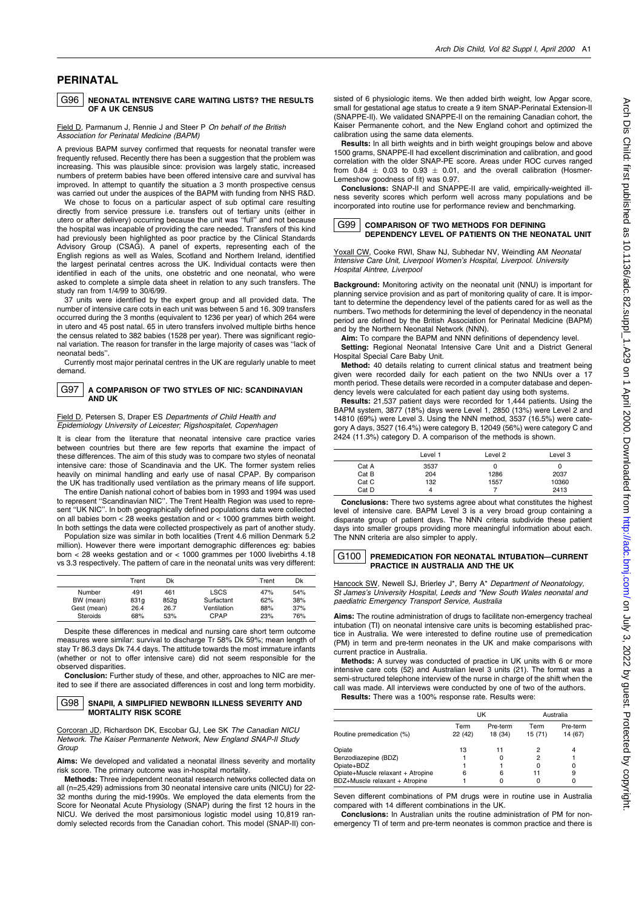# **PERINATAL**

#### G96 NEONATAL INTENSIVE CARE WAITING LISTS? THE RESULTS OF A UK CENSUS

## Field D. Parmanum J. Rennie J and Steer P On behalf of the British Association for Perinatal Medicine (BAPM)

A previous BAPM survey confirmed that requests for neonatal transfer were frequently refused. Recently there has been a suggestion that the problem was increasing. This was plausible since: provision was largely static, increased numbers of preterm babies have been offered intensive care and survival has improved. In attempt to quantify the situation a 3 month prospective census was carried out under the auspices of the BAPM with funding from NHS R&D.

We chose to focus on a particular aspect of sub optimal care resulting directly from service pressure i.e. transfers out of tertiary units (either in utero or after delivery) occurring because the unit was "full" and not because the hospital was incapable of providing the care needed. Transfers of this kind had previously been highlighted as poor practice by the Clinical Standards Advisory Group (CSAG). A panel of experts, representing each of the English regions as well as Wales, Scotland and Northern Ireland, identified the largest perinatal centres across the UK. Individual contacts were then identified in each of the units, one obstetric and one neonatal, who were asked to complete a simple data sheet in relation to any such transfers. The study ran from 1/4/99 to 30/6/99.

37 units were identified by the expert group and all provided data. The number of intensive care cots in each unit was between 5 and 16. 309 transfers occurred during the 3 months (equivalent to 1236 per year) of which 264 were in utero and 45 post natal. 65 in utero transfers involved multiple births hence the census related to 382 babies (1528 per year). There was significant regional variation. The reason for transfer in the large majority of cases was "lack of neonatal beds"

Currently most major perinatal centres in the UK are regularly unable to meet demand.

#### G97 A COMPARISON OF TWO STYLES OF NIC: SCANDINAVIAN AND IIK

Field D, Petersen S, Draper ES Departments of Child Health and Epidemiology University of Leicester; Rigshospitalet, Copenhagen

It is clear from the literature that neonatal intensive care practice varies between countries but there are few reports that examine the impact of these differences. The aim of this study was to compare two styles of neonatal intensive care: those of Scandinavia and the UK. The former system relies heavily on minimal handling and early use of nasal CPAP. By comparison the UK has traditionally used ventilation as the primary means of life support

The entire Danish national cohort of babies born in 1993 and 1994 was used to represent "Scandinavian NIC". The Trent Health Region was used to represent "UK NIC" In both geographically defined populations data were collected on all babies born  $<$  28 weeks gestation and or  $<$  1000 grammes birth weight. In both settings the data were collected prospectively as part of another study.

Population size was similar in both localities (Trent 4.6 million Denmark 5.2 million). However there were important demographic differences eg: babies born < 28 weeks gestation and  $or < 1000$  grammes per 1000 livebirths 4.18 vs 3.3 respectively. The pattern of care in the neonatal units was very different:

|             | Trent | Dk   |             | Trent | Dk  |
|-------------|-------|------|-------------|-------|-----|
| Number      | 491   | 461  | <b>LSCS</b> | 47%   | 54% |
| BW (mean)   | 831g  | 852g | Surfactant  | 62%   | 38% |
| Gest (mean) | 26.4  | 26.7 | Ventilation | 88%   | 37% |
| Steroids    | 68%   | 53%  | CPAP        | 23%   | 76% |

Despite these differences in medical and nursing care short term outcome measures were similar: survival to discharge Tr 58% Dk 59%; mean length of stay Tr 86.3 days Dk 74.4 days. The attitude towards the most immature infants (whether or not to offer intensive care) did not seem responsible for the observed disparities.

Conclusion: Further study of these, and other, approaches to NIC are merited to see if there are associated differences in cost and long term morbidity.

#### G98 SNAPII, A SIMPLIFIED NEWBORN ILLNESS SEVERITY AND **MORTALITY RISK SCORE**

Corcoran JD, Richardson DK, Escobar GJ, Lee SK The Canadian NICU Network. The Kaiser Permanente Network, New England SNAP-II Study Group

Aims: We developed and validated a neonatal illness severity and mortality risk score. The primary outcome was in-hospital mortality.

Methods: Three independent neonatal research networks collected data on all (n=25,429) admissions from 30 neonatal intensive care units (NICU) for 22-32 months during the mid-1990s. We employed the data elements from the Score for Neonatal Acute Physiology (SNAP) during the first 12 hours in the NICU. We derived the most parsimonious logistic model using 10,819 randomly selected records from the Canadian cohort. This model (SNAP-II) consisted of 6 physiologic items. We then added birth weight, low Apgar score, small for gestational age status to create a 9 item SNAP-Perinatal Extension-II (SNAPPE-II). We validated SNAPPE-II on the remaining Canadian cohort, the Kaiser Permanente cohort, and the New England cohort and optimized the calibration using the same data elements.

Results: In all birth weights and in birth weight groupings below and above 1500 grams. SNAPPE-II had excellent discrimination and calibration, and good correlation with the older SNAP-PE score. Areas under ROC curves ranged from  $0.84 + 0.03$  to  $0.93 + 0.01$  and the overall calibration (Hosmer-Lemeshow goodness of fit) was 0.97.

Conclusions: SNAP-II and SNAPPE-II are valid, empirically-weighted illness severity scores which perform well across many populations and be incorporated into routine use for performance review and benchmarking.

#### G99 COMPARISON OF TWO METHODS FOR DEFINING DEPENDENCY LEVEL OF PATIENTS ON THE NEONATAL LINIT

Yoxall CW, Cooke RWI, Shaw NJ, Subhedar NV, Weindling AM Neonatal Intensive Care Unit, Liverpool Women's Hospital, Liverpool. University Hospital Aintree, Liverpool

Background: Monitoring activity on the neonatal unit (NNU) is important for planning service provision and as part of monitoring quality of care. It is important to determine the dependency level of the patients cared for as well as the numbers. Two methods for determining the level of dependency in the neonatal period are defined by the British Association for Perinatal Medicine (BAPM) and by the Northern Neonatal Network (NNN).

Aim: To compare the BAPM and NNN definitions of dependency level. Setting: Regional Neonatal Intensive Care Unit and a District General Hospital Special Care Baby Unit.

Method: 40 details relating to current clinical status and treatment being given were recorded daily for each patient on the two NNUs over a 17 month period. These details were recorded in a computer database and dependency levels were calculated for each patient day using both systems.

Results: 21,537 patient days were recorded for 1,444 patients. Using the BAPM system, 3877 (18%) days were Level 1, 2850 (13%) were Level 2 and 14810 (69%) were Level 3. Using the NNN method, 3537 (16.5%) were category A days, 3527 (16.4%) were category B, 12049 (56%) were category C and 2424 (11.3%) category D. A comparison of the methods is shown.

|       | Level 1 | Level 2 | Level 3 |
|-------|---------|---------|---------|
| Cat A | 3537    | O       | 0       |
| Cat B | 204     | 1286    | 2037    |
| Cat C | 132     | 1557    | 10360   |
| Cat D | 4       |         | 2413    |

Conclusions: There two systems agree about what constitutes the highest level of intensive care. BAPM Level 3 is a very broad group containing a disparate group of patient days. The NNN criteria subdivide these patient days into smaller groups providing more meaningful information about each. The NNN criteria are also simpler to apply.

#### $G100$ PREMEDICATION FOR NEONATAL INTUBATION-CURRENT PRACTICE IN AUSTRALIA AND THE UK

Hancock SW, Newell SJ, Brierley J\*, Berry A\* Department of Neonatology, St James's University Hospital, Leeds and \*New South Wales neonatal and paediatric Emergency Transport Service, Australia

Aims: The routine administration of drugs to facilitate non-emergency tracheal intubation (TI) on neonatal intensive care units is becoming established practice in Australia. We were interested to define routine use of premedication (PM) in term and pre-term neonates in the UK and make comparisons with current practice in Australia.

Methods: A survey was conducted of practice in UK units with 6 or more intensive care cots (52) and Australian level 3 units (21). The format was a semi-structured telephone interview of the nurse in charge of the shift when the call was made. All interviews were conducted by one of two of the authors. Results: There was a 100% response rate. Results were:

UK Australia Tarm **Pro-term** Torm **Pro-torm** Routine premedication (%)  $22(42)$ 18 (34)  $15(71)$ 14 (67)  $\overline{2}$ Oniate  $13$  $11$  $\overline{4}$ Benzodiazepine (BDZ)  $\mathbf 0$  $\overline{2}$  $\overline{1}$  $\overline{1}$ Opiate+BDZ  $\pmb{0}$  $\begin{smallmatrix}0\0\9\end{smallmatrix}$ Opiate+Muscle relaxant + Atropine  $\overline{6}$  $\overline{11}$  $6\phantom{a}$  $\Omega$  $\Omega$ BDZ+Muscle relaxant + Atropine  $\Omega$ 

Seven different combinations of PM drugs were in routine use in Australia compared with 14 different combinations in the UK.

Conclusions: In Australian units the routine administration of PM for nonemergency TI of term and pre-term neonates is common practice and there is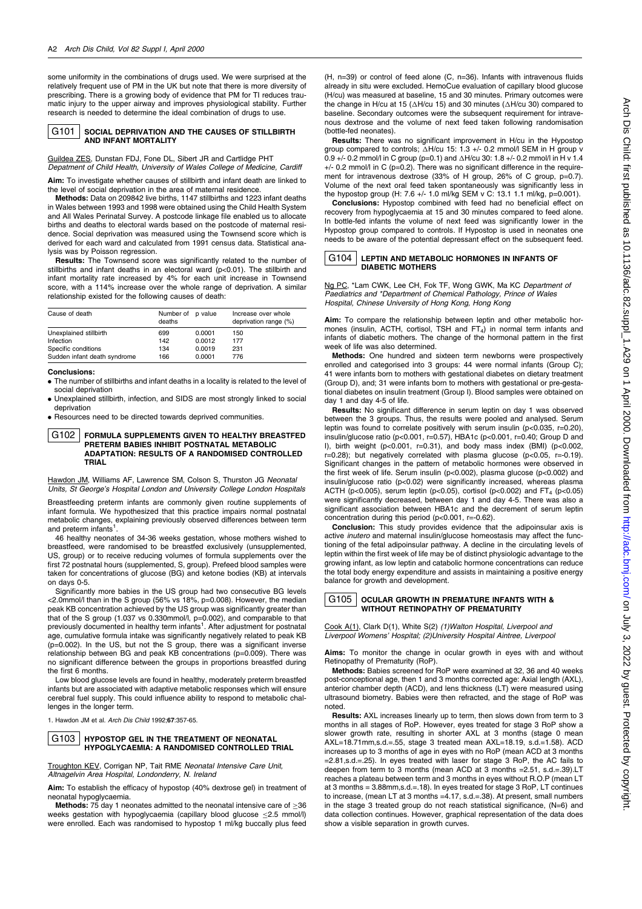some uniformity in the combinations of drugs used. We were surprised at the relatively frequent use of PM in the UK but note that there is more diversity of prescribing. There is a growing body of evidence that PM for TI reduces traumatic injury to the upper airway and improves physiological stability. Further research is needed to determine the ideal combination of drugs to use.

#### G<sub>101</sub> SOCIAL DEPRIVATION AND THE CAUSES OF STILLBIRTH AND INFANT MORTALITY

Guildea ZES, Dunstan FDJ, Fone DL, Sibert JR and Cartlidge PHT Depatment of Child Health, University of Wales College of Medicine, Cardiff

Aim: To investigate whether causes of stillbirth and infant death are linked to the level of social deprivation in the area of maternal residence.

Methods: Data on 209842 live births, 1147 stillbirths and 1223 infant deaths in Wales between 1993 and 1998 were obtained using the Child Health System and All Wales Perinatal Survey. A postcode linkage file enabled us to allocate births and deaths to electoral wards based on the postcode of maternal residence. Social deprivation was measured using the Townsend score which is derived for each ward and calculated from 1991 census data. Statistical analysis was by Poisson regression.

Results: The Townsend score was significantly related to the number of stillbirths and infant deaths in an electoral ward (p<0.01). The stillbirth and infant mortality rate increased by 4% for each unit increase in Townsend score, with a 114% increase over the whole range of deprivation. A similar relationship existed for the following causes of death:

| Cause of death               | Number of p value<br>deaths |        | Increase over whole<br>deprivation range (%) |
|------------------------------|-----------------------------|--------|----------------------------------------------|
| Unexplained stillbirth       | 699                         | 0.0001 | 150                                          |
| Infection                    | 142                         | 0.0012 | 177                                          |
| Specific conditions          | 134                         | 0.0019 | 231                                          |
| Sudden infant death syndrome | 166                         | 0.0001 | 776                                          |

### **Conclusions:**

• The number of stillbirths and infant deaths in a locality is related to the level of social deprivation

• Unexplained stillbirth, infection, and SIDS are most strongly linked to social deprivation

• Resources need to be directed towards deprived communities.

#### G102 FORMULA SUPPLEMENTS GIVEN TO HEALTHY BREASTFED PRETERM BABIES INHIBIT POSTNATAL METABOLIC ADAPTATION: RESULTS OF A RANDOMISED CONTROLLED **TRIAL**

Hawdon JM, Williams AF, Lawrence SM, Colson S, Thurston JG Neonatal Units, St George's Hospital London and University College London Hospitals

Breastfeeding preterm infants are commonly given routine supplements of infant formula. We hypothesized that this practice impairs normal postnatal metabolic changes, explaining previously observed differences between term and preterm infants<sup>1</sup>

46 healthy neonates of 34-36 weeks gestation, whose mothers wished to breastfeed, were randomised to be breastfed exclusively (unsupplemented, US, group) or to receive reducing volumes of formula supplements over the first 72 postnatal hours (supplemented, S, group). Prefeed blood samples were taken for concentrations of glucose (BG) and ketone bodies (KB) at intervals on days 0-5.

Significantly more babies in the US group had two consecutive BG levels <2.0mmol/l than in the S group (56% vs 18%, p=0.008). However, the median peak KB concentration achieved by the US group was significantly greater than that of the S group (1.037 vs 0.330mmol/l, p=0.002), and comparable to that previously documented in healthy term infants<sup>1</sup>. After adjustment for postnatal age, cumulative formula intake was significantly negatively related to peak KB (p=0.002). In the US, but not the S group, there was a significant inverse relationship between BG and peak KB concentrations (p=0.009). There was no significant difference between the groups in proportions breastfed during the first 6 months

Low blood glucose levels are found in healthy, moderately preterm breastfed infants but are associated with adaptive metabolic responses which will ensure cerebral fuel supply. This could influence ability to respond to metabolic challenges in the longer term.

1. Hawdon JM et al. Arch Dis Child 1992;67:357-65.

#### G103 HYPOSTOP GEL IN THE TREATMENT OF NEONATAL HYPOGLYCAEMIA: A RANDOMISED CONTROLLED TRIAL

Troughton KEV, Corrigan NP, Tait RME Neonatal Intensive Care Unit, Altnagelvin Area Hospital, Londonderry, N. Ireland

Aim: To establish the efficacy of hypostop (40% dextrose gel) in treatment of neonatal hypoglycaemia.

Methods: 75 day 1 neonates admitted to the neonatal intensive care of  $\geq$ 36 weeks gestation with hypoglycaemia (capillary blood glucose <2.5 mmol/l) were enrolled. Each was randomised to hypostop 1 ml/kg buccally plus feed (H, n=39) or control of feed alone (C, n=36). Infants with intravenous fluids already in situ were excluded. HemoCue evaluation of capillary blood glucose (H/cu) was measured at baseline, 15 and 30 minutes. Primary outcomes were the change in H/cu at 15 ( $\triangle H$ /cu 15) and 30 minutes ( $\triangle H$ /cu 30) compared to baseline. Secondary outcomes were the subsequent requirement for intravenous dextrose and the volume of next feed taken following randomisation (bottle-fed neonates)

Results: There was no significant improvement in H/cu in the Hypostop group compared to controls:  $\Delta H/cu$  15: 1.3 +/- 0.2 mmol/l SEM in H group v 0.9 +/- 0.2 mmol/l in C group (p=0.1) and  $\triangle H$ /cu 30: 1.8 +/- 0.2 mmol/l in H v 1.4 +/- 0.2 mmol/l in C ( $p=0.2$ ). There was no significant difference in the requirement for intravenous dextrose (33% of H group, 26% of C group, p=0.7). Volume of the next oral feed taken spontaneously was significantly less in the hypostop group (H: 7.6 +/- 1.0 ml/kg SEM v C: 13.1 1.1 ml/kg, p=0.001).

Conclusions: Hypostop combined with feed had no beneficial effect on recovery from hypoglycaemia at 15 and 30 minutes compared to feed alone. In bottle-fed infants the volume of next feed was significantly lower in the Hypostop group compared to controls. If Hypostop is used in neonates one needs to be aware of the potential depressant effect on the subsequent feed.

# G104 | LEPTIN AND METABOLIC HORMONES IN INFANTS OF **DIABETIC MOTHERS**

Ng PC, \*Lam CWK, Lee CH, Fok TF, Wong GWK, Ma KC Department of Paediatrics and \*Department of Chemical Pathology, Prince of Wales Hospital, Chinese University of Hong Kong, Hong Kong

Aim: To compare the relationship between leptin and other metabolic hormones (insulin, ACTH, cortisol, TSH and  $FT<sub>4</sub>$ ) in normal term infants and infants of diabetic mothers. The change of the hormonal pattern in the first week of life was also determined.

Methods: One hundred and sixteen term newborns were prospectively enrolled and categorised into 3 groups: 44 were normal infants (Group C); 41 were infants born to mothers with gestational diabetes on dietary treatment Group D), and: 31 were infants born to mothers with gestational or pre-gestational diabetes on insulin treatment (Group I). Blood samples were obtained on day 1 and day 4-5 of life.

Results: No significant difference in serum leptin on day 1 was observed between the 3 groups. Thus, the results were pooled and analysed. Serum leptin was found to correlate positively with serum insulin (p<0.035, r=0.20), insulin/glucose ratio (p<0.001, r=0.57), HBA1c (p<0.001, r=0.40; Group D and I), birth weight ( $p < 0.001$ ,  $r = 0.31$ ), and body mass index (BMI) ( $p < 0.002$ ,  $r=0.28$ ); but negatively correlated with plasma glucose ( $p<0.05$ ,  $r=-0.19$ ). Significant changes in the pattern of metabolic hormones were observed in the first week of life. Serum insulin (p<0.002), plasma glucose (p<0.002) and insulin/glucose ratio (p<0.02) were significantly increased, whereas plasma ACTH (p<0.005), serum leptin (p<0.05), cortisol (p<0.002) and  $FT_4$  (p<0.05) were significantly decreased, between day 1 and day 4-5. There was also a significant association between HBA1c and the decrement of serum leptin concentration during this period (p<0.001, r=-0.62).

**Conclusion:** This study provides evidence that the adipoinsular axis is active *inutero* and maternal insulin/glucose homeostasis may affect the functioning of the fetal adipoinsular pathway. A decline in the circulating levels of leptin within the first week of life may be of distinct physiologic advantage to the growing infant, as low leptin and catabolic hormone concentrations can reduce the total body energy expenditure and assists in maintaining a positive energy balance for growth and development.



# **OCULAR GROWTH IN PREMATURE INFANTS WITH &** WITHOUT RETINOPATHY OF PREMATURITY

Cook A(1), Clark D(1), White S(2) (1) Walton Hospital, Liverpool and Liverpool Womens' Hospital; (2)University Hospital Aintree, Liverpool

Aims: To monitor the change in ocular growth in eyes with and without Retinonathy of Prematurity (RoP)

Methods: Babies screened for RoP were examined at 32, 36 and 40 weeks post-conceptional age, then 1 and 3 months corrected age: Axial length (AXL), anterior chamber depth (ACD), and lens thickness (LT) were measured using ultrasound biometry. Babies were then refracted, and the stage of RoP was noted

Results: AXL increases linearly up to term, then slows down from term to 3 months in all stages of RoP. However, eyes treated for stage 3 RoP show a slower growth rate, resulting in shorter AXL at 3 months (stage 0 mean AXL=18.71mm,s.d.=.55, stage 3 treated mean AXL=18.19, s.d.=1.58). ACD increases up to 3 months of age in eyes with no RoP (mean ACD at 3 months = 2.81, s.d. =  $25$ ). In eyes treated with laser for stage 3 RoP, the AC fails to deepen from term to 3 months (mean ACD at 3 months = 2.51, s.d.=.39).LT reaches a plateau between term and 3 months in eyes without R.O.P (mean LT at 3 months =  $3.88$ mm,s.d.= 18). In eyes treated for stage 3 RoP, LT continues to increase, (mean LT at 3 months =4.17, s.d.=.38). At present, small numbers in the stage 3 treated group do not reach statistical significance,  $(N=6)$  and data collection continues. However, graphical representation of the data does show a visible separation in growth curves.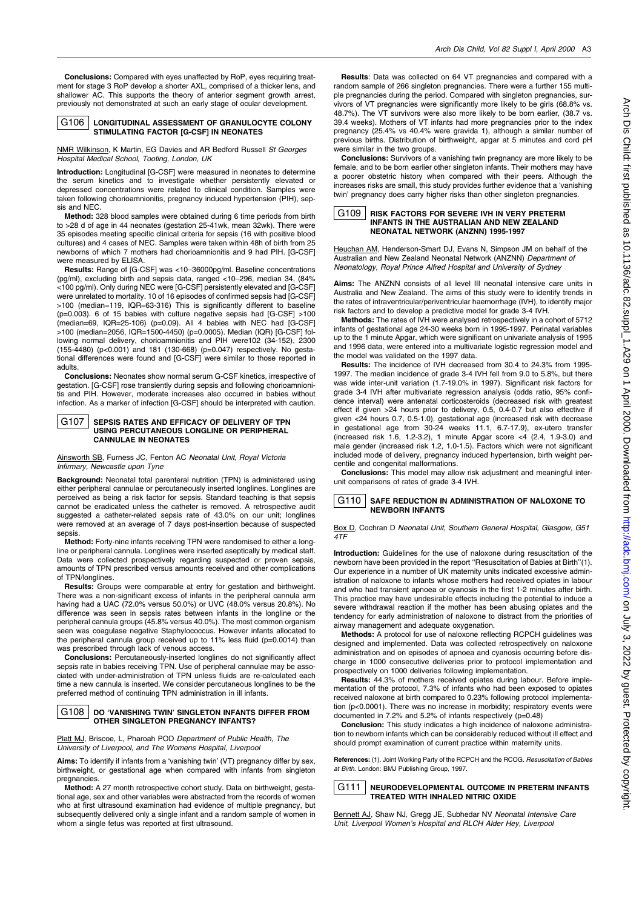Conclusions: Compared with eyes unaffected by RoP, eyes requiring treatment for stage 3 RoP develop a shorter AXL, comprised of a thicker lens, and shallower AC. This supports the theory of anterior segment growth arrest, previously not demonstrated at such an early stage of ocular development.



# LONGITUDINAL ASSESSMENT OF GRANULOCYTE COLONY STIMULATING FACTOR [G-CSF] IN NEONATES

NMR Wilkinson, K Martin, EG Davies and AR Bedford Russell St Georges Hospital Medical School. Tooting. London. UK

Introduction: Longitudinal [G-CSF] were measured in neonates to determine the serum kinetics and to investigate whether persistently elevated or depressed concentrations were related to clinical condition. Samples were taken following chorioamnionitis, pregnancy induced hypertension (PIH), sepsis and NEC.

Method: 328 blood samples were obtained during 6 time periods from birth to >28 d of age in 44 neonates (gestation 25-41wk, mean 32wk). There were 35 episodes meeting specific clinical criteria for sepsis (16 with positive blood cultures) and 4 cases of NEC. Samples were taken within 48h of birth from 25 newborns of which 7 mothers had chorioamnionitis and 9 had PIH. [G-CSF] were measured by ELISA

Results: Range of [G-CSF] was <10-36000pg/ml. Baseline concentrations (pg/ml), excluding birth and sepsis data, ranged <10-296, median 34, (84% <100 pg/ml). Only during NEC were [G-CSF] persistently elevated and [G-CSF] were unrelated to mortality. 10 of 16 episodes of confirmed sepsis had [G-CSF] >100 (median=119, IQR=63-316) This is significantly different to baseline (p=0.003). 6 of 15 babies with culture negative sepsis had [G-CSF] >100 (median=69, IQR=25-106) (p=0.09). All 4 babies with NEC had [G-CSF] >100 (median=2056, IQR=1500-4450) (p=0.0005). Median (IQR) [G-CSF] following normal delivery, chorioamnionitis and PIH were102 (34-152), 2300  $(155-4480)$  (p<0.001) and 181 (130-668) (p=0.047) respectively. No gestational differences were found and [G-CSF] were similar to those reported in adults.

**Conclusions:** Neonates show normal serum G-CSF kinetics, irrespective of gestation. [G-CSF] rose transiently during sepsis and following chorioamnionitis and PIH. However, moderate increases also occurred in babies without infection. As a marker of infection [G-CSF] should be interpreted with caution.

#### G107 SEPSIS RATES AND EFFICACY OF DELIVERY OF TPN USING PERCUTANEOUS LONGLINE OR PERIPHERAL **CANNULAE IN NEONATES**

Ainsworth SB, Furness JC, Fenton AC Neonatal Unit, Royal Victoria Infirmary, Newcastle upon Tyne

Background: Neonatal total parenteral nutrition (TPN) is administered using either peripheral cannulae or percutaneously inserted longlines. Longlines are perceived as being a risk factor for sepsis. Standard teaching is that sepsis cannot be eradicated unless the catheter is removed. A retrospective audit suggested a catheter-related sepsis rate of 43.0% on our unit; longlines were removed at an average of 7 days post-insertion because of suspected sepsis

Method: Forty-nine infants receiving TPN were randomised to either a longline or peripheral cannula. Longlines were inserted aseptically by medical staff. Data were collected prospectively regarding suspected or proven sepsis, amounts of TPN prescribed versus amounts received and other complications of TPN/longlines.

Results: Groups were comparable at entry for gestation and birthweight. There was a non-significant excess of infants in the peripheral cannula arm having had a UAC (72.0% versus 50.0%) or UVC (48.0% versus 20.8%). No difference was seen in sepsis rates between infants in the longline or the peripheral cannula groups (45.8% versus 40.0%). The most common organism seen was coagulase negative Staphylococcus. However infants allocated to the peripheral cannula group received up to 11% less fluid (p=0.0014) than was prescribed through lack of venous access.

Conclusions: Percutaneously-inserted longlines do not significantly affect sepsis rate in babies receiving TPN. Use of peripheral cannulae may be associated with under-administration of TPN unless fluids are re-calculated each time a new cannula is inserted. We consider percutaneous longlines to be the preferred method of continuing TPN administration in ill infants.

#### G<sub>108</sub> DO 'VANISHING TWIN' SINGLETON INFANTS DIFFER FROM **OTHER SINGLETON PREGNANCY INFANTS?**

Platt MJ, Briscoe, L, Pharoah POD Department of Public Health, The University of Liverpool, and The Womens Hospital, Liverpool

Aims: To identify if infants from a 'vanishing twin' (VT) pregnancy differ by sex, birthweight, or gestational age when compared with infants from singleton pregnancies.

Method: A 27 month retrospective cohort study. Data on birthweight, gestational age, sex and other variables were abstracted from the records of women who at first ultrasound examination had evidence of multiple pregnancy, but subsequently delivered only a single infant and a random sample of women in whom a single fetus was reported at first ultrasound.

Results: Data was collected on 64 VT pregnancies and compared with a random sample of 266 singleton pregnancies. There were a further 155 multiple pregnancies during the period. Compared with singleton pregnancies, survivors of VT pregnancies were significantly more likely to be girls (68.8% vs. 48.7%). The VT survivors were also more likely to be born earlier. (38.7 vs. 39.4 weeks). Mothers of VT infants had more pregnancies prior to the index pregnancy (25.4% vs 40.4% were gravida 1), although a similar number of previous births. Distribution of birthweight, apgar at 5 minutes and cord pH were similar in the two groups.

**Conclusions:** Survivors of a vanishing twin pregnancy are more likely to be female, and to be born earlier other singleton infants. Their mothers may have a poorer obstetric history when compared with their peers. Although the increases risks are small, this study provides further evidence that a 'vanishing twin' pregnancy does carry higher risks than other singleton pregnancies.

#### G<sub>109</sub> **RISK FACTORS FOR SEVERE IVH IN VERY PRETERM** INFANTS IN THE AUSTRALIAN AND NEW ZEALAND NEONATAL NETWORK (ANZNN) 1995-1997

Heuchan AM, Henderson-Smart DJ, Evans N, Simpson JM on behalf of the Australian and New Zealand Neonatal Network (ANZNN) Department of Neonatology, Royal Prince Alfred Hospital and University of Sydney

Aims: The ANZNN consists of all level III neonatal intensive care units in Australia and New Zealand. The aims of this study were to identify trends in the rates of intraventricular/periventricular haemorrhage (IVH), to identify major risk factors and to develop a predictive model for grade 3-4 IVH.

Methods: The rates of IVH were analysed retrospectively in a cohort of 5712 infants of gestational age 24-30 weeks born in 1995-1997. Perinatal variables up to the 1 minute Apgar, which were significant on univariate analysis of 1995 and 1996 data, were entered into a multivariate logistic regression model and the model was validated on the 1997 data.

**Results:** The incidence of IVH decreased from 30.4 to 24.3% from 1995-1997. The median incidence of grade 3-4 IVH fell from 9.0 to 5.8%, but there was wide inter-unit variation (1 7-19.0% in 1997). Significant risk factors for grade 3-4 IVH after multivariate regression analysis (odds ratio, 95% confidence interval) were antenatal corticosteroids (decreased risk with greatest effect if given >24 hours prior to delivery, 0.5, 0.4-0.7 but also effective if given <24 hours 0.7, 0.5-1.0), gestational age (increased risk with decrease in gestational age from 30-24 weeks 11.1, 6.7-17.9), ex-utero transfer (increased risk 1.6, 1.2-3.2), 1 minute Apgar score <4 (2.4, 1.9-3.0) and male gender (increased risk 1.2, 1.0-1.5). Factors which were not significant included mode of delivery, pregnancy induced hypertension, birth weight percentile and congenital malformations.

**Conclusions:** This model may allow risk adjustment and meaningful interunit comparisons of rates of grade 3-4 IVH.



Box D, Cochran D Neonatal Unit, Southern General Hospital, Glasgow. G51 4TF

Introduction: Guidelines for the use of naloxone during resuscitation of the newborn have been provided in the report "Resuscitation of Babies at Birth"(1). Our experience in a number of UK maternity units indicated excessive administration of naloxone to infants whose mothers had received opiates in labour and who had transient apnoea or cyanosis in the first 1-2 minutes after birth. This practice may have undesirable effects including the potential to induce a severe withdrawal reaction if the mother has been abusing opiates and the tendency for early administration of naloxone to distract from the priorities of airway management and adequate oxygenation.

Methods: A protocol for use of naloxone reflecting RCPCH quidelines was designed and implemented. Data was collected retrospectively on naloxone administration and on episodes of apnoea and cyanosis occurring before discharge in 1000 consecutive deliveries prior to protocol implementation and prospectively on 1000 deliveries following implementation.

Results: 44.3% of mothers received opiates during labour. Before implementation of the protocol. 7.3% of infants who had been exposed to opiates received naloxone at birth compared to 0.23% following protocol implementation (p<0.0001). There was no increase in morbidity: respiratory events were documented in 7.2% and 5.2% of infants respectively (p=0.48)

**Conclusion:** This study indicates a high incidence of naloxone administration to newborn infants which can be considerably reduced without ill effect and should prompt examination of current practice within maternity units.

References: (1). Joint Working Party of the RCPCH and the RCOG. Resuscitation of Babies at Birth. London: BMJ Publishing Group, 1997.

G111 NEURODEVELOPMENTAL OUTCOME IN PRETERM INFANTS TREATED WITH INHALED NITRIC OXIDE

Bennett AJ, Shaw NJ, Gregg JE, Subhedar NV Neonatal Intensive Care Unit, Liverpool Women's Hospital and RLCH Alder Hey, Liverpool